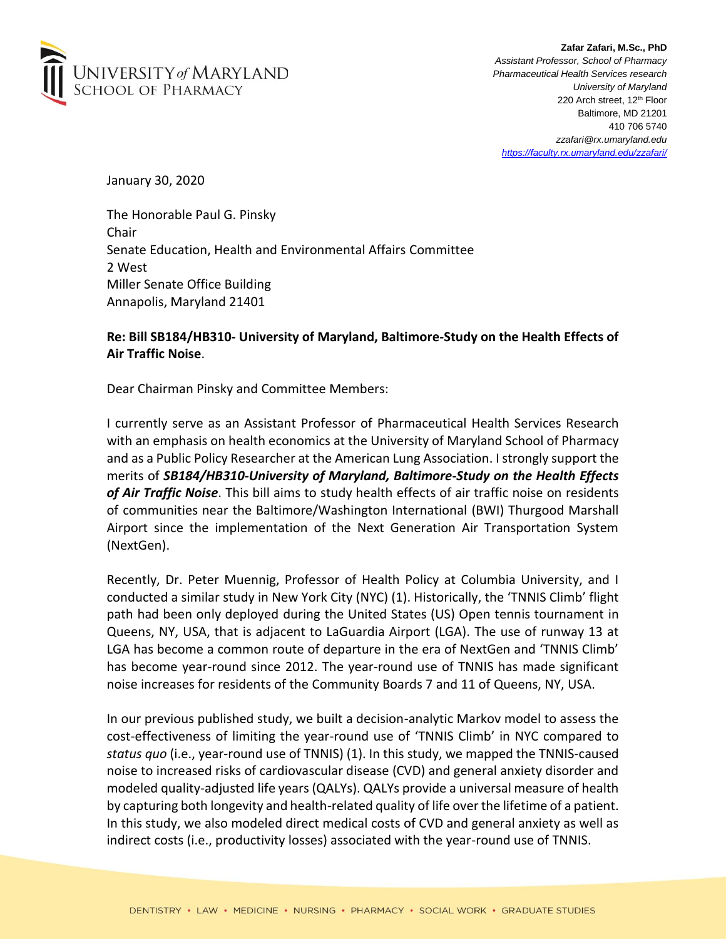

**Zafar Zafari, M.Sc., PhD** *Assistant Professor, School of Pharmacy Pharmaceutical Health Services research University of Maryland* 220 Arch street, 12<sup>th</sup> Floor Baltimore, MD 21201 410 706 5740 *zzafari@rx.umaryland.edu https://faculty.rx.umaryland.edu/zzafari/*

January 30, 2020

The Honorable Paul G. Pinsky Chair Senate Education, Health and Environmental Affairs Committee 2 West Miller Senate Office Building Annapolis, Maryland 21401

## **Re: Bill SB184/HB310- University of Maryland, Baltimore-Study on the Health Effects of Air Traffic Noise**.

Dear Chairman Pinsky and Committee Members:

I currently serve as an Assistant Professor of Pharmaceutical Health Services Research with an emphasis on health economics at the University of Maryland School of Pharmacy and as a Public Policy Researcher at the American Lung Association. I strongly support the merits of *SB184/HB310-University of Maryland, Baltimore-Study on the Health Effects of Air Traffic Noise*. This bill aims to study health effects of air traffic noise on residents of communities near the Baltimore/Washington International (BWI) Thurgood Marshall Airport since the implementation of the Next Generation Air Transportation System (NextGen).

Recently, Dr. Peter Muennig, Professor of Health Policy at Columbia University, and I conducted a similar study in New York City (NYC) (1). Historically, the 'TNNIS Climb' flight path had been only deployed during the United States (US) Open tennis tournament in Queens, NY, USA, that is adjacent to LaGuardia Airport (LGA). The use of runway 13 at LGA has become a common route of departure in the era of NextGen and 'TNNIS Climb' has become year-round since 2012. The year-round use of TNNIS has made significant noise increases for residents of the Community Boards 7 and 11 of Queens, NY, USA.

In our previous published study, we built a decision-analytic Markov model to assess the cost-effectiveness of limiting the year-round use of 'TNNIS Climb' in NYC compared to *status quo* (i.e., year-round use of TNNIS) (1). In this study, we mapped the TNNIS-caused noise to increased risks of cardiovascular disease (CVD) and general anxiety disorder and modeled quality-adjusted life years (QALYs). QALYs provide a universal measure of health by capturing both longevity and health-related quality of life overthe lifetime of a patient. In this study, we also modeled direct medical costs of CVD and general anxiety as well as indirect costs (i.e., productivity losses) associated with the year-round use of TNNIS.